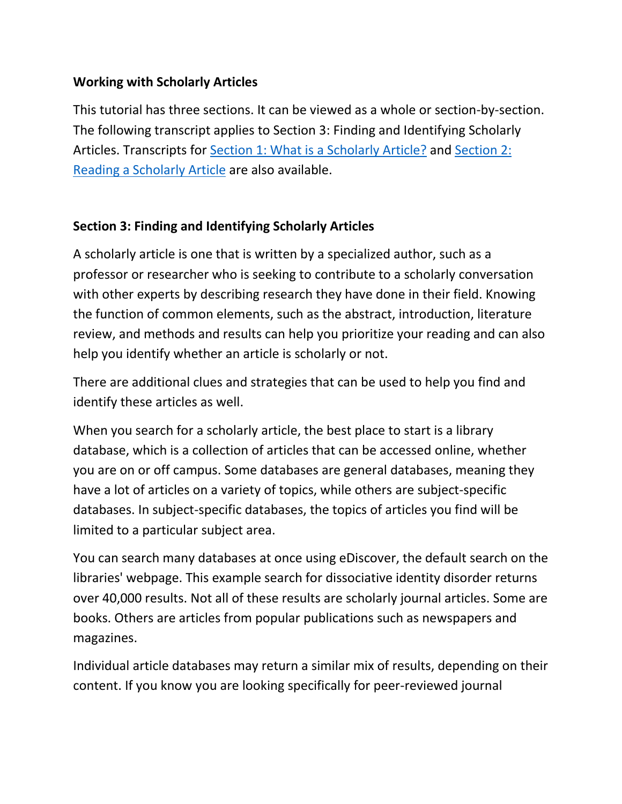# **Working with Scholarly Articles**

This tutorial has three sections. It can be viewed as a whole or section-by-section. The following transcript applies to Section 3: Finding and Identifying Scholarly Articles. Transcripts for [Section 1: What is a Scholarly Article?](http://library.albany.edu/infolit/scholarly1) and [Section 2:](http://library.albany.edu/infolit/scholarly2)  [Reading a Scholarly Article](http://library.albany.edu/infolit/scholarly2) are also available.

# **Section 3: Finding and Identifying Scholarly Articles**

A scholarly article is one that is written by a specialized author, such as a professor or researcher who is seeking to contribute to a scholarly conversation with other experts by describing research they have done in their field. Knowing the function of common elements, such as the abstract, introduction, literature review, and methods and results can help you prioritize your reading and can also help you identify whether an article is scholarly or not.

There are additional clues and strategies that can be used to help you find and identify these articles as well.

When you search for a scholarly article, the best place to start is a library database, which is a collection of articles that can be accessed online, whether you are on or off campus. Some databases are general databases, meaning they have a lot of articles on a variety of topics, while others are subject-specific databases. In subject-specific databases, the topics of articles you find will be limited to a particular subject area.

You can search many databases at once using eDiscover, the default search on the libraries' webpage. This example search for dissociative identity disorder returns over 40,000 results. Not all of these results are scholarly journal articles. Some are books. Others are articles from popular publications such as newspapers and magazines.

Individual article databases may return a similar mix of results, depending on their content. If you know you are looking specifically for peer-reviewed journal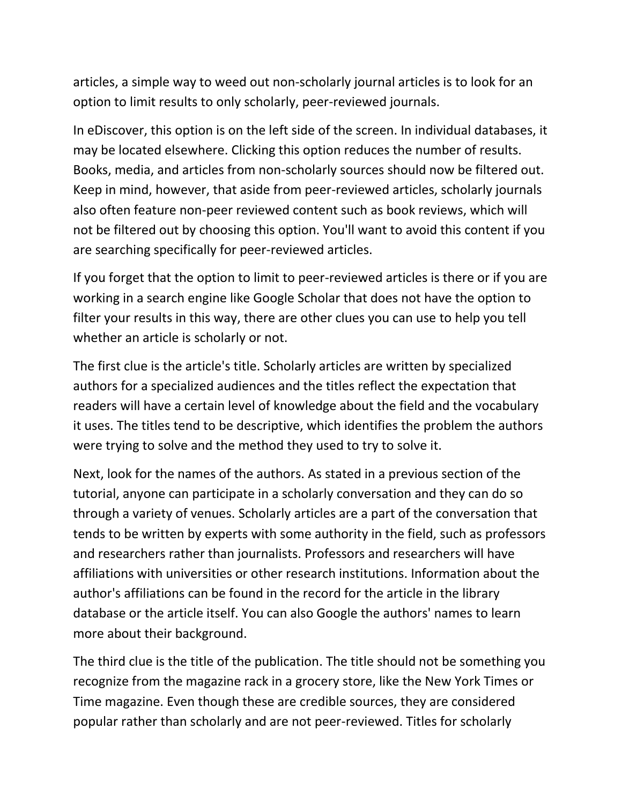articles, a simple way to weed out non-scholarly journal articles is to look for an option to limit results to only scholarly, peer-reviewed journals.

In eDiscover, this option is on the left side of the screen. In individual databases, it may be located elsewhere. Clicking this option reduces the number of results. Books, media, and articles from non-scholarly sources should now be filtered out. Keep in mind, however, that aside from peer-reviewed articles, scholarly journals also often feature non-peer reviewed content such as book reviews, which will not be filtered out by choosing this option. You'll want to avoid this content if you are searching specifically for peer-reviewed articles.

If you forget that the option to limit to peer-reviewed articles is there or if you are working in a search engine like Google Scholar that does not have the option to filter your results in this way, there are other clues you can use to help you tell whether an article is scholarly or not.

The first clue is the article's title. Scholarly articles are written by specialized authors for a specialized audiences and the titles reflect the expectation that readers will have a certain level of knowledge about the field and the vocabulary it uses. The titles tend to be descriptive, which identifies the problem the authors were trying to solve and the method they used to try to solve it.

Next, look for the names of the authors. As stated in a previous section of the tutorial, anyone can participate in a scholarly conversation and they can do so through a variety of venues. Scholarly articles are a part of the conversation that tends to be written by experts with some authority in the field, such as professors and researchers rather than journalists. Professors and researchers will have affiliations with universities or other research institutions. Information about the author's affiliations can be found in the record for the article in the library database or the article itself. You can also Google the authors' names to learn more about their background.

The third clue is the title of the publication. The title should not be something you recognize from the magazine rack in a grocery store, like the New York Times or Time magazine. Even though these are credible sources, they are considered popular rather than scholarly and are not peer-reviewed. Titles for scholarly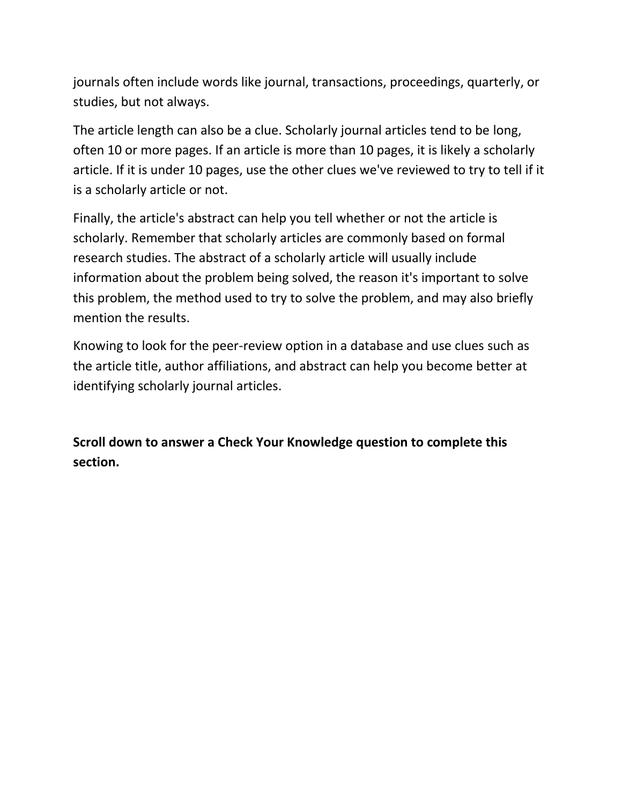journals often include words like journal, transactions, proceedings, quarterly, or studies, but not always.

The article length can also be a clue. Scholarly journal articles tend to be long, often 10 or more pages. If an article is more than 10 pages, it is likely a scholarly article. If it is under 10 pages, use the other clues we've reviewed to try to tell if it is a scholarly article or not.

Finally, the article's abstract can help you tell whether or not the article is scholarly. Remember that scholarly articles are commonly based on formal research studies. The abstract of a scholarly article will usually include information about the problem being solved, the reason it's important to solve this problem, the method used to try to solve the problem, and may also briefly mention the results.

Knowing to look for the peer-review option in a database and use clues such as the article title, author affiliations, and abstract can help you become better at identifying scholarly journal articles.

**Scroll down to answer a Check Your Knowledge question to complete this section.**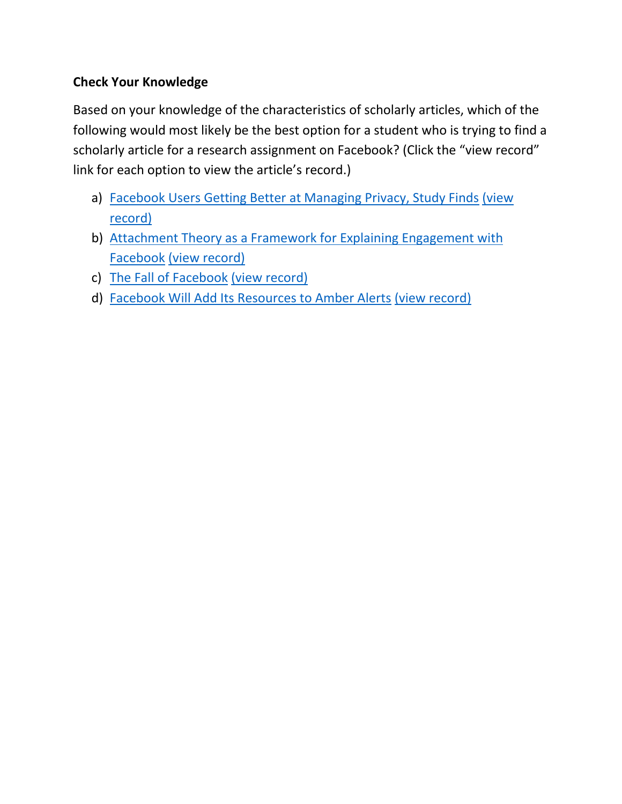# **Check Your Knowledge**

Based on your knowledge of the characteristics of scholarly articles, which of the following would most likely be the best option for a student who is trying to find a scholarly article for a research assignment on Facebook? (Click the "view record" link for each option to view the article's record.)

- a) [Facebook Users Getting Better at Managing Privacy, Study Finds](#page-5-0) [\(view](http://libproxy.albany.edu/login?url=http://search.ebscohost.com/login.aspx?direct=true&db=a9h&AN=82033718&site=ehost-live)  [record\)](http://libproxy.albany.edu/login?url=http://search.ebscohost.com/login.aspx?direct=true&db=a9h&AN=82033718&site=ehost-live)
- b) Attachment Theory as a Framework for Explaining Engagement with [Facebook](#page-4-0) [\(view record\)](http://libproxy.albany.edu/login?url=http://search.ebscohost.com/login.aspx?direct=true&db=a2h&AN=100851290&site=eds-live&scope=site)
- c) [The Fall of Facebook](#page-5-0) [\(view record\)](http://libproxy.albany.edu/login?url=http://search.ebscohost.com/login.aspx?direct=true&db=a9h&AN=99338284&site=ehost-live)
- d) [Facebook Will Add Its Resources to Amber Alerts](#page-5-0) [\(view record\)](http://libproxy.albany.edu/login?url=http://search.ebscohost.com/login.aspx?direct=true&db=a9h&AN=100383404&site=ehost-live)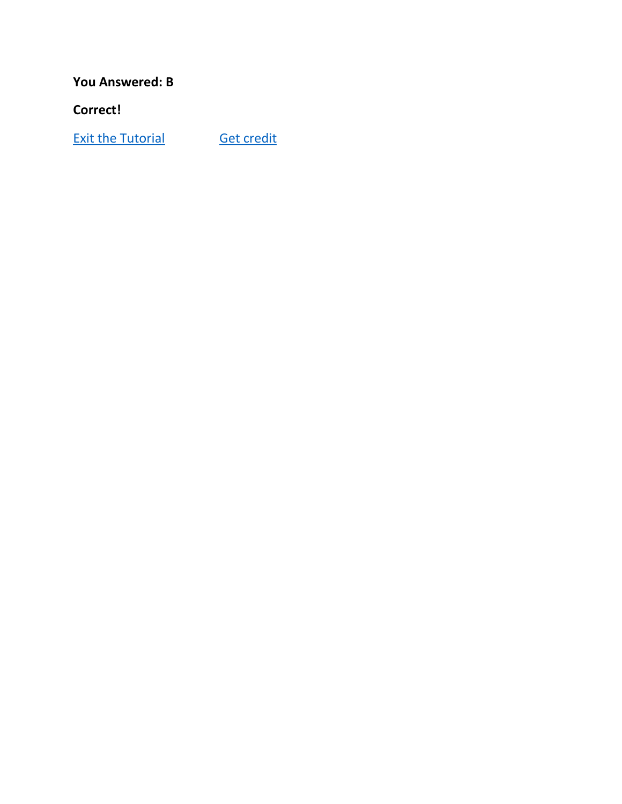<span id="page-4-0"></span>**You Answered: B**

**Correct!**

**[Exit the Tutorial](http://library.albany.edu/infolit/) [Get credit](https://library.albany.edu/infolit/credit/?pass=valid)**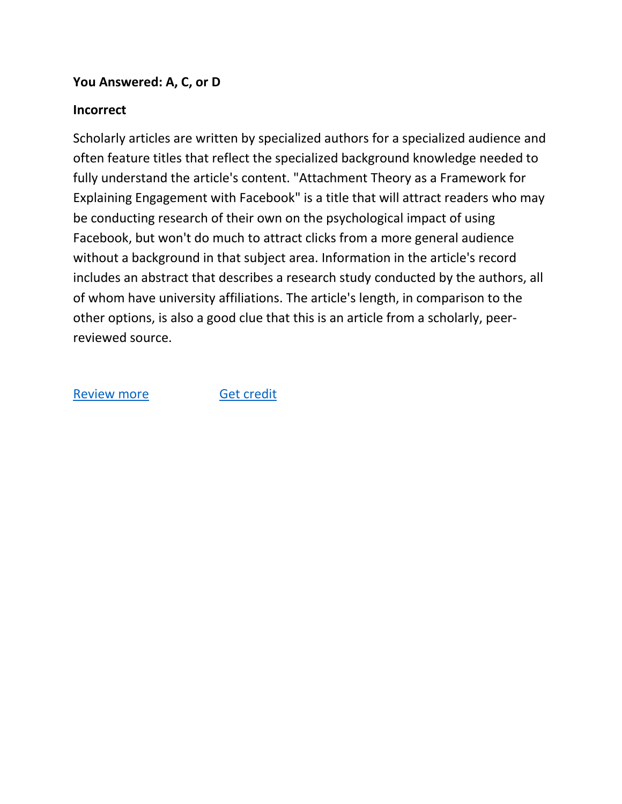### <span id="page-5-0"></span>**You Answered: A, C, or D**

### **Incorrect**

Scholarly articles are written by specialized authors for a specialized audience and often feature titles that reflect the specialized background knowledge needed to fully understand the article's content. "Attachment Theory as a Framework for Explaining Engagement with Facebook" is a title that will attract readers who may be conducting research of their own on the psychological impact of using Facebook, but won't do much to attract clicks from a more general audience without a background in that subject area. Information in the article's record includes an abstract that describes a research study conducted by the authors, all of whom have university affiliations. The article's length, in comparison to the other options, is also a good clue that this is an article from a scholarly, peerreviewed source.

#### [Review more](#page-6-0) **[Get credit](https://library.albany.edu/infolit/credit/?pass=valid)**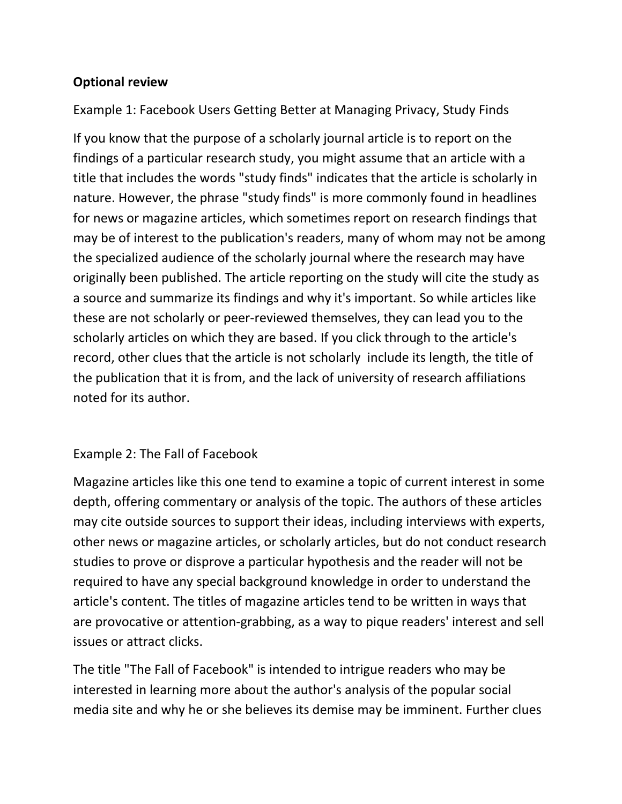# <span id="page-6-0"></span>**Optional review**

Example 1: Facebook Users Getting Better at Managing Privacy, Study Finds

If you know that the purpose of a scholarly journal article is to report on the findings of a particular research study, you might assume that an article with a title that includes the words "study finds" indicates that the article is scholarly in nature. However, the phrase "study finds" is more commonly found in headlines for news or magazine articles, which sometimes report on research findings that may be of interest to the publication's readers, many of whom may not be among the specialized audience of the scholarly journal where the research may have originally been published. The article reporting on the study will cite the study as a source and summarize its findings and why it's important. So while articles like these are not scholarly or peer-reviewed themselves, they can lead you to the scholarly articles on which they are based. If you click through to the article's record, other clues that the article is not scholarly include its length, the title of the publication that it is from, and the lack of university of research affiliations noted for its author.

# Example 2: The Fall of Facebook

Magazine articles like this one tend to examine a topic of current interest in some depth, offering commentary or analysis of the topic. The authors of these articles may cite outside sources to support their ideas, including interviews with experts, other news or magazine articles, or scholarly articles, but do not conduct research studies to prove or disprove a particular hypothesis and the reader will not be required to have any special background knowledge in order to understand the article's content. The titles of magazine articles tend to be written in ways that are provocative or attention-grabbing, as a way to pique readers' interest and sell issues or attract clicks.

The title "The Fall of Facebook" is intended to intrigue readers who may be interested in learning more about the author's analysis of the popular social media site and why he or she believes its demise may be imminent. Further clues